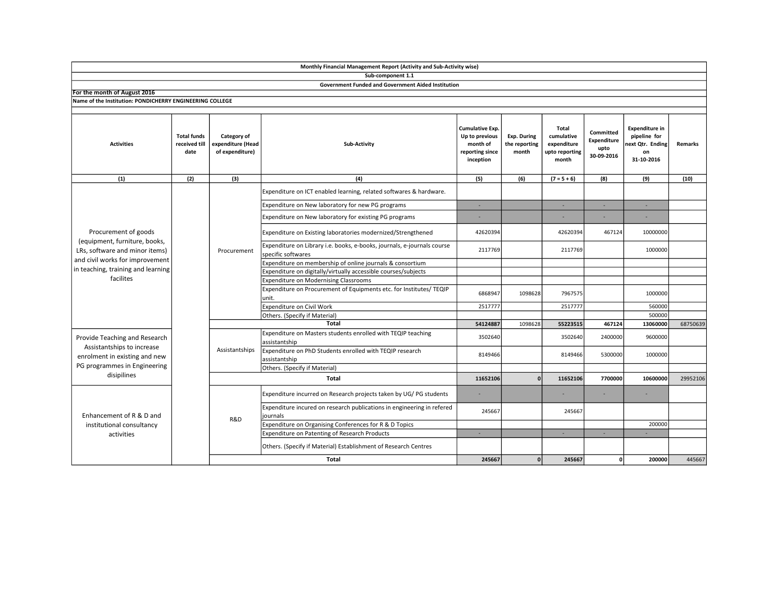|                                                                                                                                             |                                             |                                                     | Sub-component 1.1                                                                             |                                                                               |                                       |                                                                      |                                                |                                                                              |          |
|---------------------------------------------------------------------------------------------------------------------------------------------|---------------------------------------------|-----------------------------------------------------|-----------------------------------------------------------------------------------------------|-------------------------------------------------------------------------------|---------------------------------------|----------------------------------------------------------------------|------------------------------------------------|------------------------------------------------------------------------------|----------|
|                                                                                                                                             |                                             |                                                     | Government Funded and Government Aided Institution                                            |                                                                               |                                       |                                                                      |                                                |                                                                              |          |
| For the month of August 2016                                                                                                                |                                             |                                                     |                                                                                               |                                                                               |                                       |                                                                      |                                                |                                                                              |          |
| Name of the Institution: PONDICHERRY ENGINEERING COLLEGE                                                                                    |                                             |                                                     |                                                                                               |                                                                               |                                       |                                                                      |                                                |                                                                              |          |
|                                                                                                                                             |                                             |                                                     |                                                                                               |                                                                               |                                       |                                                                      |                                                |                                                                              |          |
| <b>Activities</b>                                                                                                                           | <b>Total funds</b><br>received till<br>date | Category of<br>expenditure (Head<br>of expenditure) | Sub-Activity                                                                                  | Cumulative Exp.<br>Up to previous<br>month of<br>reporting since<br>inception | Exp. During<br>the reporting<br>month | <b>Total</b><br>cumulative<br>expenditure<br>upto reporting<br>month | Committed<br>Expenditure<br>upto<br>30-09-2016 | <b>Expenditure in</b><br>pipeline for<br>ext Qtr. Ending<br>on<br>31-10-2016 | Remarks  |
| (1)                                                                                                                                         | (2)                                         | (3)                                                 | (4)                                                                                           | (5)                                                                           | (6)                                   | $(7 = 5 + 6)$                                                        | (8)                                            | (9)                                                                          | (10)     |
| Procurement of goods<br>(equipment, furniture, books,<br>LRs, software and minor items)                                                     |                                             | Procurement                                         | Expenditure on ICT enabled learning, related softwares & hardware.                            |                                                                               |                                       |                                                                      |                                                |                                                                              |          |
|                                                                                                                                             |                                             |                                                     | Expenditure on New laboratory for new PG programs                                             | ×,                                                                            |                                       | $\sim$                                                               |                                                | п.                                                                           |          |
|                                                                                                                                             |                                             |                                                     | Expenditure on New laboratory for existing PG programs                                        |                                                                               |                                       |                                                                      |                                                |                                                                              |          |
|                                                                                                                                             |                                             |                                                     | Expenditure on Existing laboratories modernized/Strengthened                                  | 42620394                                                                      |                                       | 42620394                                                             | 467124                                         | 10000000                                                                     |          |
|                                                                                                                                             |                                             |                                                     | Expenditure on Library i.e. books, e-books, journals, e-journals course<br>specific softwares | 2117769                                                                       |                                       | 2117769                                                              |                                                | 1000000                                                                      |          |
| and civil works for improvement                                                                                                             |                                             |                                                     | Expenditure on membership of online journals & consortium                                     |                                                                               |                                       |                                                                      |                                                |                                                                              |          |
| in teaching, training and learning<br>facilites                                                                                             |                                             |                                                     | Expenditure on digitally/virtually accessible courses/subjects                                |                                                                               |                                       |                                                                      |                                                |                                                                              |          |
|                                                                                                                                             |                                             |                                                     | Expenditure on Modernising Classrooms                                                         |                                                                               |                                       |                                                                      |                                                |                                                                              |          |
|                                                                                                                                             |                                             |                                                     | Expenditure on Procurement of Equipments etc. for Institutes/ TEQIP<br>unit.                  | 6868947                                                                       | 1098628                               | 7967575                                                              |                                                | 1000000                                                                      |          |
|                                                                                                                                             |                                             |                                                     | Expenditure on Civil Work                                                                     | 2517777                                                                       |                                       | 2517777                                                              |                                                | 560000                                                                       |          |
|                                                                                                                                             |                                             |                                                     | Others. (Specify if Material)                                                                 |                                                                               |                                       |                                                                      |                                                | 500000                                                                       |          |
|                                                                                                                                             |                                             |                                                     | <b>Total</b>                                                                                  | 54124887                                                                      | 1098628                               | 55223515                                                             | 467124                                         | 13060000                                                                     | 68750639 |
| Provide Teaching and Research<br>Assistantships to increase<br>enrolment in existing and new<br>PG programmes in Engineering<br>disipilines |                                             | Assistantships                                      | Expenditure on Masters students enrolled with TEQIP teaching<br>assistantship                 | 3502640                                                                       |                                       | 3502640                                                              | 2400000                                        | 9600000                                                                      |          |
|                                                                                                                                             |                                             |                                                     | Expenditure on PhD Students enrolled with TEQIP research<br>assistantship                     | 8149466                                                                       |                                       | 8149466                                                              | 5300000                                        | 1000000                                                                      |          |
|                                                                                                                                             |                                             |                                                     | Others. (Specify if Material)                                                                 |                                                                               |                                       |                                                                      |                                                |                                                                              |          |
|                                                                                                                                             |                                             | <b>Total</b>                                        |                                                                                               |                                                                               | n                                     | 11652106                                                             | 7700000                                        | 10600000                                                                     | 29952106 |
| Enhancement of R & D and<br>institutional consultancy<br>activities                                                                         |                                             | R&D                                                 | Expenditure incurred on Research projects taken by UG/PG students                             | ٠                                                                             |                                       |                                                                      |                                                |                                                                              |          |
|                                                                                                                                             |                                             |                                                     | Expenditure incured on research publications in engineering in refered<br>journals            | 245667                                                                        |                                       | 245667                                                               |                                                |                                                                              |          |
|                                                                                                                                             |                                             |                                                     | Expenditure on Organising Conferences for R & D Topics                                        |                                                                               |                                       |                                                                      |                                                | 200000                                                                       |          |
|                                                                                                                                             |                                             |                                                     | <b>Expenditure on Patenting of Research Products</b>                                          | ٠                                                                             |                                       |                                                                      |                                                |                                                                              |          |
|                                                                                                                                             |                                             |                                                     | Others. (Specify if Material) Establishment of Research Centres                               |                                                                               |                                       |                                                                      |                                                |                                                                              |          |
|                                                                                                                                             |                                             |                                                     | <b>Total</b>                                                                                  | 245667                                                                        | $\mathbf{0}$                          | 245667                                                               | οI                                             | 200000                                                                       | 445667   |

Monthly Financial Management Report (Activity and Sub-Activity wise)